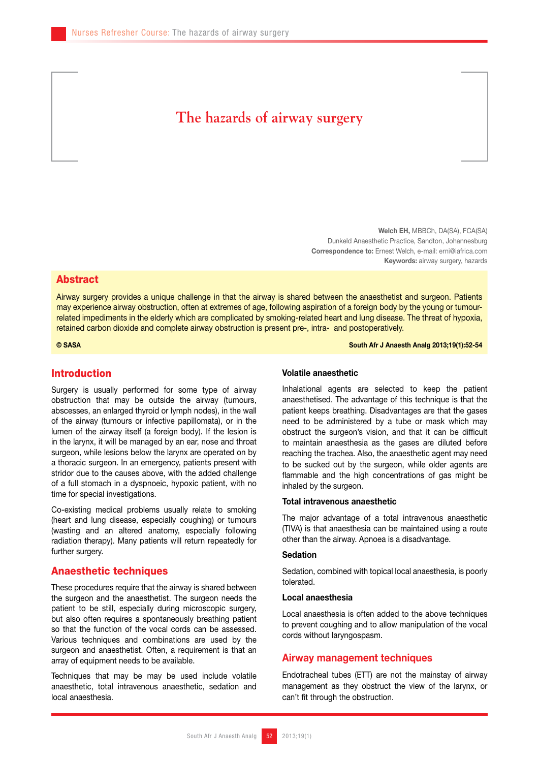# **The hazards of airway surgery**

Welch EH, MBBCh, DA(SA), FCA(SA) Dunkeld Anaesthetic Practice, Sandton, Johannesburg Correspondence to: Ernest Welch, e-mail: erni@iafrica.com Keywords: airway surgery, hazards

## Abstract

Airway surgery provides a unique challenge in that the airway is shared between the anaesthetist and surgeon. Patients may experience airway obstruction, often at extremes of age, following aspiration of a foreign body by the young or tumourrelated impediments in the elderly which are complicated by smoking-related heart and lung disease. The threat of hypoxia, retained carbon dioxide and complete airway obstruction is present pre-, intra- and postoperatively.

© SASA South Afr J Anaesth Analg 2013;19(1):52-54

# Introduction

Surgery is usually performed for some type of airway obstruction that may be outside the airway (tumours, abscesses, an enlarged thyroid or lymph nodes), in the wall of the airway (tumours or infective papillomata), or in the lumen of the airway itself (a foreign body). If the lesion is in the larynx, it will be managed by an ear, nose and throat surgeon, while lesions below the larynx are operated on by a thoracic surgeon. In an emergency, patients present with stridor due to the causes above, with the added challenge of a full stomach in a dyspnoeic, hypoxic patient, with no time for special investigations.

Co-existing medical problems usually relate to smoking (heart and lung disease, especially coughing) or tumours (wasting and an altered anatomy, especially following radiation therapy). Many patients will return repeatedly for further surgery.

#### Anaesthetic techniques

These procedures require that the airway is shared between the surgeon and the anaesthetist. The surgeon needs the patient to be still, especially during microscopic surgery, but also often requires a spontaneously breathing patient so that the function of the vocal cords can be assessed. Various techniques and combinations are used by the surgeon and anaesthetist. Often, a requirement is that an array of equipment needs to be available.

Techniques that may be may be used include volatile anaesthetic, total intravenous anaesthetic, sedation and local anaesthesia.

#### Volatile anaesthetic

Inhalational agents are selected to keep the patient anaesthetised. The advantage of this technique is that the patient keeps breathing. Disadvantages are that the gases need to be administered by a tube or mask which may obstruct the surgeon's vision, and that it can be difficult to maintain anaesthesia as the gases are diluted before reaching the trachea. Also, the anaesthetic agent may need to be sucked out by the surgeon, while older agents are flammable and the high concentrations of gas might be inhaled by the surgeon.

## Total intravenous anaesthetic

The major advantage of a total intravenous anaesthetic (TIVA) is that anaesthesia can be maintained using a route other than the airway. Apnoea is a disadvantage.

## Sedation

Sedation, combined with topical local anaesthesia, is poorly tolerated.

#### Local anaesthesia

Local anaesthesia is often added to the above techniques to prevent coughing and to allow manipulation of the vocal cords without laryngospasm.

# Airway management techniques

Endotracheal tubes (ETT) are not the mainstay of airway management as they obstruct the view of the larynx, or can't fit through the obstruction.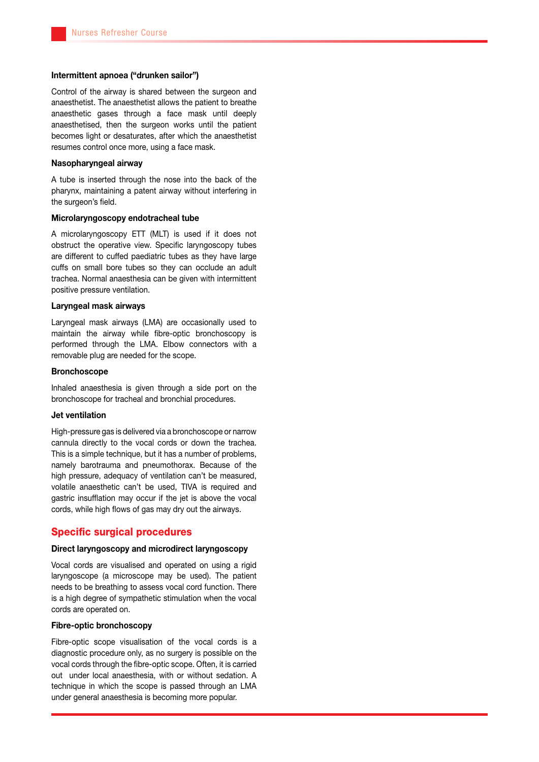# Intermittent apnoea ("drunken sailor")

Control of the airway is shared between the surgeon and anaesthetist. The anaesthetist allows the patient to breathe anaesthetic gases through a face mask until deeply anaesthetised, then the surgeon works until the patient becomes light or desaturates, after which the anaesthetist resumes control once more, using a face mask.

## Nasopharyngeal airway

A tube is inserted through the nose into the back of the pharynx, maintaining a patent airway without interfering in the surgeon's field.

#### Microlaryngoscopy endotracheal tube

A microlaryngoscopy ETT (MLT) is used if it does not obstruct the operative view. Specific laryngoscopy tubes are different to cuffed paediatric tubes as they have large cuffs on small bore tubes so they can occlude an adult trachea. Normal anaesthesia can be given with intermittent positive pressure ventilation.

#### Laryngeal mask airways

Laryngeal mask airways (LMA) are occasionally used to maintain the airway while fibre-optic bronchoscopy is performed through the LMA. Elbow connectors with a removable plug are needed for the scope.

#### Bronchoscope

Inhaled anaesthesia is given through a side port on the bronchoscope for tracheal and bronchial procedures.

#### Jet ventilation

High-pressure gas is delivered via a bronchoscope or narrow cannula directly to the vocal cords or down the trachea. This is a simple technique, but it has a number of problems, namely barotrauma and pneumothorax. Because of the high pressure, adequacy of ventilation can't be measured, volatile anaesthetic can't be used, TIVA is required and gastric insufflation may occur if the jet is above the vocal cords, while high flows of gas may dry out the airways.

## Specific surgical procedures

## Direct laryngoscopy and microdirect laryngoscopy

Vocal cords are visualised and operated on using a rigid laryngoscope (a microscope may be used). The patient needs to be breathing to assess vocal cord function. There is a high degree of sympathetic stimulation when the vocal cords are operated on.

#### Fibre-optic bronchoscopy

Fibre-optic scope visualisation of the vocal cords is a diagnostic procedure only, as no surgery is possible on the vocal cords through the fibre-optic scope. Often, it is carried out under local anaesthesia, with or without sedation. A technique in which the scope is passed through an LMA under general anaesthesia is becoming more popular.